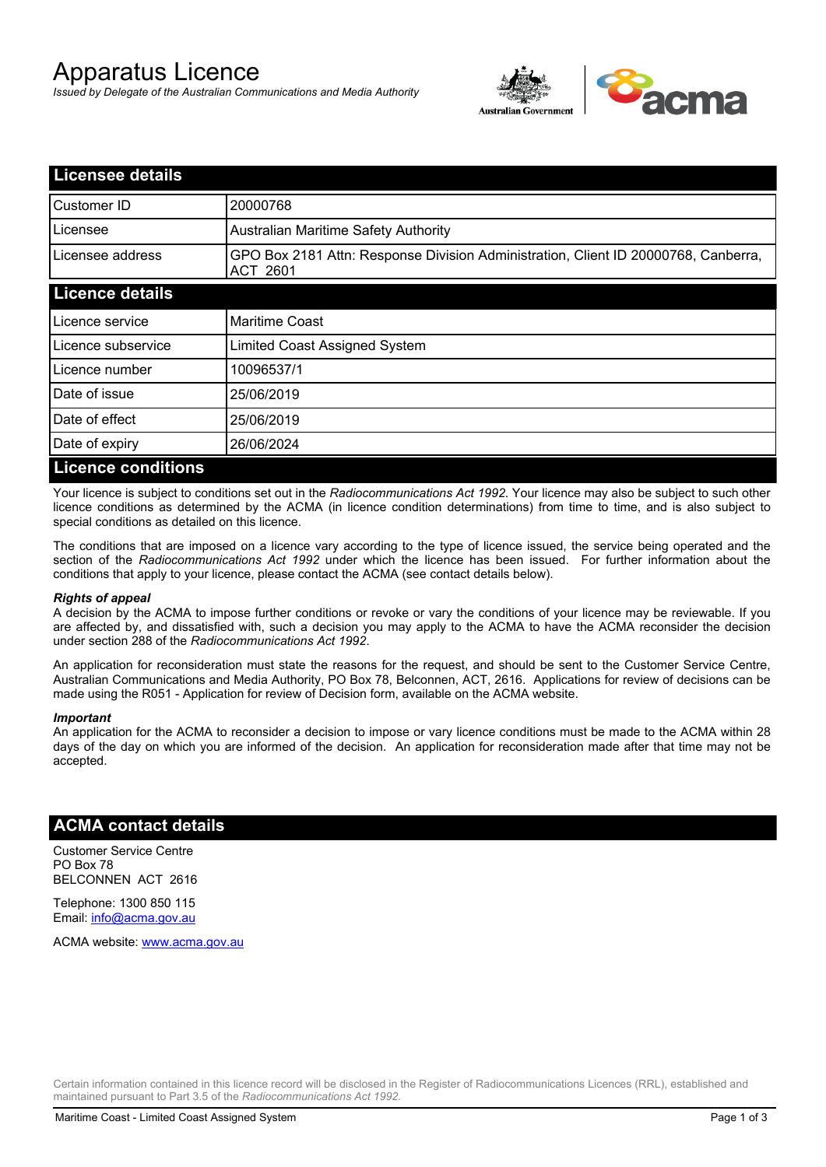# Apparatus Licence

*Issued by Delegate of the Australian Communications and Media Authority*



| <b>Licensee details</b>   |                                                                                                |
|---------------------------|------------------------------------------------------------------------------------------------|
| Customer ID               | 20000768                                                                                       |
| Licensee                  | <b>Australian Maritime Safety Authority</b>                                                    |
| Licensee address          | GPO Box 2181 Attn: Response Division Administration, Client ID 20000768, Canberra,<br>ACT 2601 |
| <b>Licence details</b>    |                                                                                                |
| Licence service           | <b>Maritime Coast</b>                                                                          |
| Licence subservice        | Limited Coast Assigned System                                                                  |
| Licence number            | 10096537/1                                                                                     |
| Date of issue             | 25/06/2019                                                                                     |
| Date of effect            | 25/06/2019                                                                                     |
| Date of expiry            | 26/06/2024                                                                                     |
| <b>Licence conditions</b> |                                                                                                |

Your licence is subject to conditions set out in the *Radiocommunications Act 1992*. Your licence may also be subject to such other licence conditions as determined by the ACMA (in licence condition determinations) from time to time, and is also subject to special conditions as detailed on this licence.

The conditions that are imposed on a licence vary according to the type of licence issued, the service being operated and the section of the *Radiocommunications Act 1992* under which the licence has been issued. For further information about the conditions that apply to your licence, please contact the ACMA (see contact details below).

#### *Rights of appeal*

A decision by the ACMA to impose further conditions or revoke or vary the conditions of your licence may be reviewable. If you are affected by, and dissatisfied with, such a decision you may apply to the ACMA to have the ACMA reconsider the decision under section 288 of the *Radiocommunications Act 1992*.

An application for reconsideration must state the reasons for the request, and should be sent to the Customer Service Centre, Australian Communications and Media Authority, PO Box 78, Belconnen, ACT, 2616. Applications for review of decisions can be made using the R051 - Application for review of Decision form, available on the ACMA website.

#### *Important*

An application for the ACMA to reconsider a decision to impose or vary licence conditions must be made to the ACMA within 28 days of the day on which you are informed of the decision. An application for reconsideration made after that time may not be accepted.

### **ACMA contact details**

Customer Service Centre PO Box 78 BELCONNEN ACT 2616

Telephone: 1300 850 115 Email: info@acma.gov.au

ACMA website: www.acma.gov.au

Certain information contained in this licence record will be disclosed in the Register of Radiocommunications Licences (RRL), established and maintained pursuant to Part 3.5 of the *Radiocommunications Act 1992.*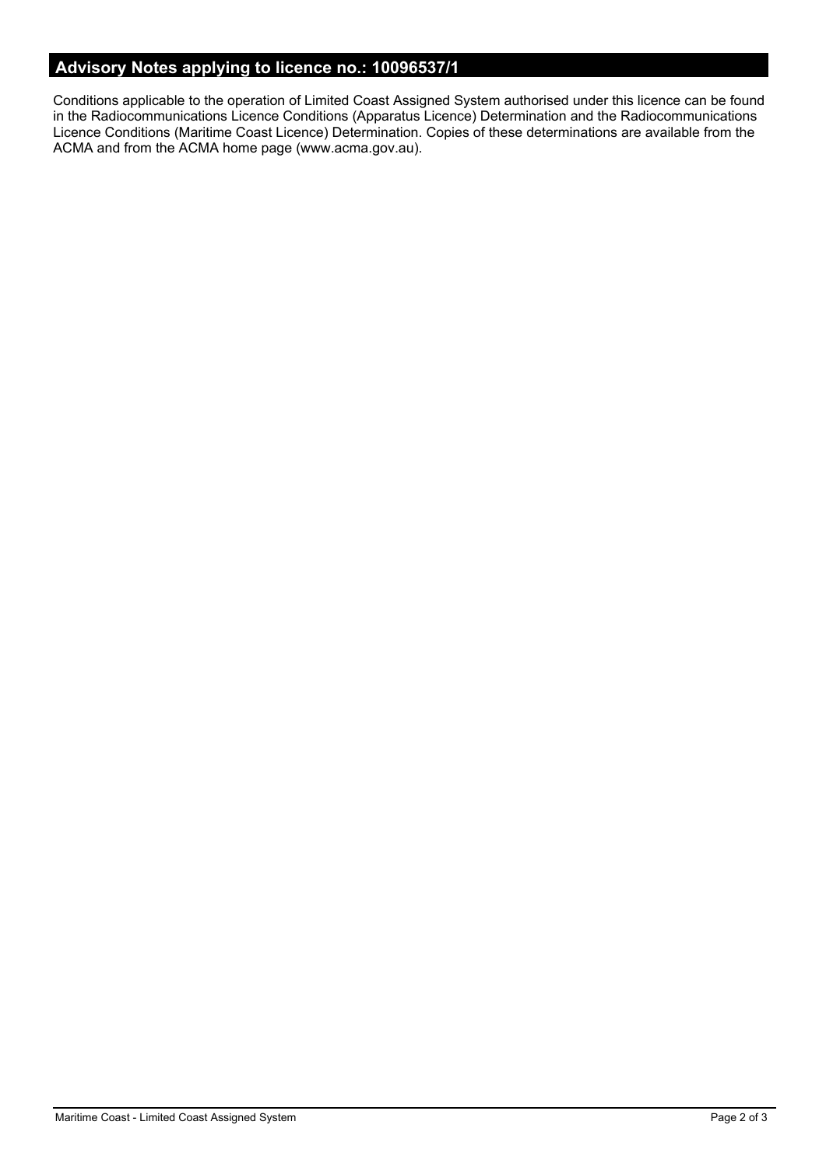# **Advisory Notes applying to licence no.: 10096537/1**

Conditions applicable to the operation of Limited Coast Assigned System authorised under this licence can be found in the Radiocommunications Licence Conditions (Apparatus Licence) Determination and the Radiocommunications Licence Conditions (Maritime Coast Licence) Determination. Copies of these determinations are available from the ACMA and from the ACMA home page (www.acma.gov.au).